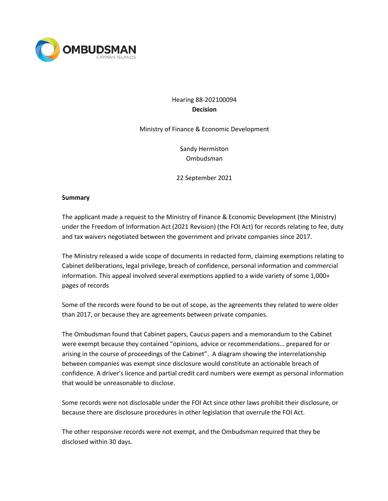

# Hearing 88-202100094 **Decision**

Ministry of Finance & Economic Development

Sandy Hermiston Ombudsman

22 September 2021

#### **Summary**

The applicant made a request to the Ministry of Finance & Economic Development (the Ministry) under the Freedom of Information Act (2021 Revision) (the FOI Act) for records relating to fee, duty and tax waivers negotiated between the government and private companies since 2017.

The Ministry released a wide scope of documents in redacted form, claiming exemptions relating to Cabinet deliberations, legal privilege, breach of confidence, personal information and commercial information. This appeal involved several exemptions applied to a wide variety of some 1,000+ pages of records

Some of the records were found to be out of scope, as the agreements they related to were older than 2017, or because they are agreements between private companies.

The Ombudsman found that Cabinet papers, Caucus papers and a memorandum to the Cabinet were exempt because they contained "opinions, advice or recommendations… prepared for or arising in the course of proceedings of the Cabinet". A diagram showing the interrelationship between companies was exempt since disclosure would constitute an actionable breach of confidence. A driver's licence and partial credit card numbers were exempt as personal information that would be unreasonable to disclose.

Some records were not disclosable under the FOI Act since other laws prohibit their disclosure, or because there are disclosure procedures in other legislation that overrule the FOI Act.

The other responsive records were not exempt, and the Ombudsman required that they be disclosed within 30 days.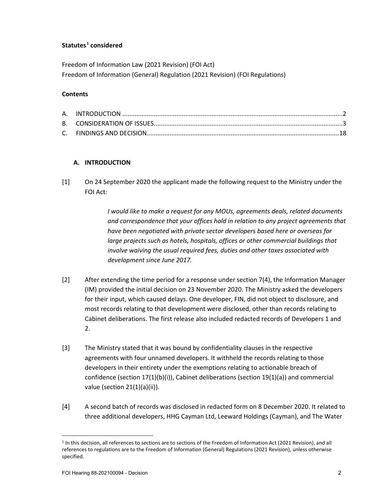# **Statutes[1](#page-1-0) considered**

Freedom of Information Law (2021 Revision) (FOI Act) Freedom of Information (General) Regulation (2021 Revision) (FOI Regulations)

## **Contents**

# **A. INTRODUCTION**

[1] On 24 September 2020 the applicant made the following request to the Ministry under the FOI Act:

> *I would like to make a request for any MOUs, agreements deals, related documents and correspondence that your offices hold in relation to any project agreements that have been negotiated with private sector developers based here or overseas for*  large projects such as hotels, hospitals, offices or other commercial buildings that *involve waiving the usual required fees, duties and other taxes associated with development since June 2017.*

- [2] After extending the time period for a response under section 7(4), the Information Manager (IM) provided the initial decision on 23 November 2020. The Ministry asked the developers for their input, which caused delays. One developer, FIN, did not object to disclosure, and most records relating to that development were disclosed, other than records relating to Cabinet deliberations. The first release also included redacted records of Developers 1 and  $2<sub>1</sub>$
- [3] The Ministry stated that it was bound by confidentiality clauses in the respective agreements with four unnamed developers. It withheld the records relating to those developers in their entirety under the exemptions relating to actionable breach of confidence (section 17(1)(b)(i)), Cabinet deliberations (section 19(1)(a)) and commercial value (section 21(1)(a)(ii)).
- [4] A second batch of records was disclosed in redacted form on 8 December 2020. It related to three additional developers, HHG Cayman Ltd, Leeward Holdings (Cayman), and The Water

<span id="page-1-0"></span><sup>1</sup> In this decision, all references to sections are to sections of the Freedom of Information Act (2021 Revision), and all references to regulations are to the Freedom of Information (General) Regulations (2021 Revision), unless otherwise specified.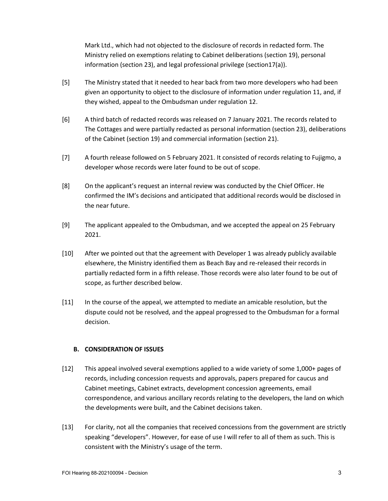Mark Ltd., which had not objected to the disclosure of records in redacted form. The Ministry relied on exemptions relating to Cabinet deliberations (section 19), personal information (section 23), and legal professional privilege (section17(a)).

- [5] The Ministry stated that it needed to hear back from two more developers who had been given an opportunity to object to the disclosure of information under regulation 11, and, if they wished, appeal to the Ombudsman under regulation 12.
- [6] A third batch of redacted records was released on 7 January 2021. The records related to The Cottages and were partially redacted as personal information (section 23), deliberations of the Cabinet (section 19) and commercial information (section 21).
- [7] A fourth release followed on 5 February 2021. It consisted of records relating to Fujigmo, a developer whose records were later found to be out of scope.
- [8] On the applicant's request an internal review was conducted by the Chief Officer. He confirmed the IM's decisions and anticipated that additional records would be disclosed in the near future.
- [9] The applicant appealed to the Ombudsman, and we accepted the appeal on 25 February 2021.
- [10] After we pointed out that the agreement with Developer 1 was already publicly available elsewhere, the Ministry identified them as Beach Bay and re-released their records in partially redacted form in a fifth release. Those records were also later found to be out of scope, as further described below.
- [11] In the course of the appeal, we attempted to mediate an amicable resolution, but the dispute could not be resolved, and the appeal progressed to the Ombudsman for a formal decision.

# **B. CONSIDERATION OF ISSUES**

- [12] This appeal involved several exemptions applied to a wide variety of some 1,000+ pages of records, including concession requests and approvals, papers prepared for caucus and Cabinet meetings, Cabinet extracts, development concession agreements, email correspondence, and various ancillary records relating to the developers, the land on which the developments were built, and the Cabinet decisions taken.
- [13] For clarity, not all the companies that received concessions from the government are strictly speaking "developers". However, for ease of use I will refer to all of them as such. This is consistent with the Ministry's usage of the term.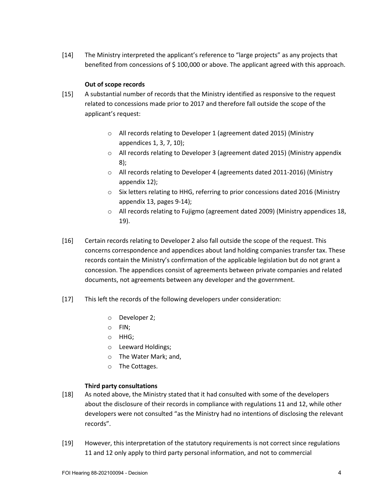[14] The Ministry interpreted the applicant's reference to "large projects" as any projects that benefited from concessions of \$ 100,000 or above. The applicant agreed with this approach.

## **Out of scope records**

- [15] A substantial number of records that the Ministry identified as responsive to the request related to concessions made prior to 2017 and therefore fall outside the scope of the applicant's request:
	- o All records relating to Developer 1 (agreement dated 2015) (Ministry appendices 1, 3, 7, 10);
	- o All records relating to Developer 3 (agreement dated 2015) (Ministry appendix 8);
	- o All records relating to Developer 4 (agreements dated 2011-2016) (Ministry appendix 12);
	- $\circ$  Six letters relating to HHG, referring to prior concessions dated 2016 (Ministry appendix 13, pages 9-14);
	- o All records relating to Fujigmo (agreement dated 2009) (Ministry appendices 18, 19).
- [16] Certain records relating to Developer 2 also fall outside the scope of the request. This concerns correspondence and appendices about land holding companies transfer tax. These records contain the Ministry's confirmation of the applicable legislation but do not grant a concession. The appendices consist of agreements between private companies and related documents, not agreements between any developer and the government.
- [17] This left the records of the following developers under consideration:
	- o Developer 2;
	- o FIN;
	- o HHG;
	- o Leeward Holdings;
	- o The Water Mark; and,
	- o The Cottages.

## **Third party consultations**

- [18] As noted above, the Ministry stated that it had consulted with some of the developers about the disclosure of their records in compliance with regulations 11 and 12, while other developers were not consulted "as the Ministry had no intentions of disclosing the relevant records".
- [19] However, this interpretation of the statutory requirements is not correct since regulations 11 and 12 only apply to third party personal information, and not to commercial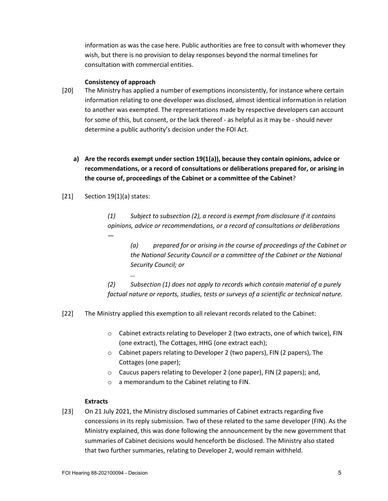information as was the case here. Public authorities are free to consult with whomever they wish, but there is no provision to delay responses beyond the normal timelines for consultation with commercial entities.

#### **Consistency of approach**

- [20] The Ministry has applied a number of exemptions inconsistently, for instance where certain information relating to one developer was disclosed, almost identical information in relation to another was exempted. The representations made by respective developers can account for some of this, but consent, or the lack thereof - as helpful as it may be - should never determine a public authority's decision under the FOI Act.
	- **a) Are the records exempt under section 19(1(a)), because they contain opinions, advice or recommendations, or a record of consultations or deliberations prepared for, or arising in the course of, proceedings of the Cabinet or a committee of the Cabinet**?

## $[21]$  Section 19(1)(a) states:

*…*

*(1) Subject to subsection (2), a record is exempt from disclosure if it contains opinions, advice or recommendations, or a record of consultations or deliberations —*

*(a) prepared for or arising in the course of proceedings of the Cabinet or the National Security Council or a committee of the Cabinet or the National Security Council; or*

*(2) Subsection (1) does not apply to records which contain material of a purely factual nature or reports, studies, tests or surveys of a scientific or technical nature.*

[22] The Ministry applied this exemption to all relevant records related to the Cabinet:

- o Cabinet extracts relating to Developer 2 (two extracts, one of which twice), FIN (one extract), The Cottages, HHG (one extract each);
- o Cabinet papers relating to Developer 2 (two papers), FIN (2 papers), The Cottages (one paper);
- o Caucus papers relating to Developer 2 (one paper), FIN (2 papers); and,
- o a memorandum to the Cabinet relating to FIN.

## **Extracts**

[23] On 21 July 2021, the Ministry disclosed summaries of Cabinet extracts regarding five concessions in its reply submission. Two of these related to the same developer (FIN). As the Ministry explained, this was done following the announcement by the new government that summaries of Cabinet decisions would henceforth be disclosed. The Ministry also stated that two further summaries, relating to Developer 2, would remain withheld.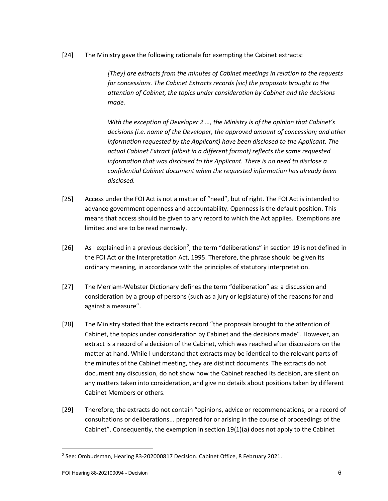[24] The Ministry gave the following rationale for exempting the Cabinet extracts:

*[They] are extracts from the minutes of Cabinet meetings in relation to the requests for concessions. The Cabinet Extracts records [sic] the proposals brought to the attention of Cabinet, the topics under consideration by Cabinet and the decisions made.*

*With the exception of Developer 2 …, the Ministry is of the opinion that Cabinet's decisions (i.e. name of the Developer, the approved amount of concession; and other information requested by the Applicant) have been disclosed to the Applicant. The actual Cabinet Extract (albeit in a different format) reflects the same requested information that was disclosed to the Applicant. There is no need to disclose a confidential Cabinet document when the requested information has already been disclosed.*

- [25] Access under the FOI Act is not a matter of "need", but of right. The FOI Act is intended to advance government openness and accountability. Openness is the default position. This means that access should be given to any record to which the Act applies. Exemptions are limited and are to be read narrowly.
- [[2](#page-5-0)6] As I explained in a previous decision<sup>2</sup>, the term "deliberations" in section 19 is not defined in the FOI Act or the Interpretation Act, 1995. Therefore, the phrase should be given its ordinary meaning, in accordance with the principles of statutory interpretation.
- [27] The Merriam-Webster Dictionary defines the term "deliberation" as: a discussion and consideration by a group of persons (such as a jury or legislature) of the reasons for and against a measure".
- [28] The Ministry stated that the extracts record "the proposals brought to the attention of Cabinet, the topics under consideration by Cabinet and the decisions made". However, an extract is a record of a decision of the Cabinet, which was reached after discussions on the matter at hand. While I understand that extracts may be identical to the relevant parts of the minutes of the Cabinet meeting, they are distinct documents. The extracts do not document any discussion, do not show how the Cabinet reached its decision, are silent on any matters taken into consideration, and give no details about positions taken by different Cabinet Members or others.
- [29] Therefore, the extracts do not contain "opinions, advice or recommendations, or a record of consultations or deliberations... prepared for or arising in the course of proceedings of the Cabinet". Consequently, the exemption in section 19(1)(a) does not apply to the Cabinet

<span id="page-5-0"></span><sup>2</sup> See: Ombudsman, Hearing 83-202000817 Decision. Cabinet Office, 8 February 2021.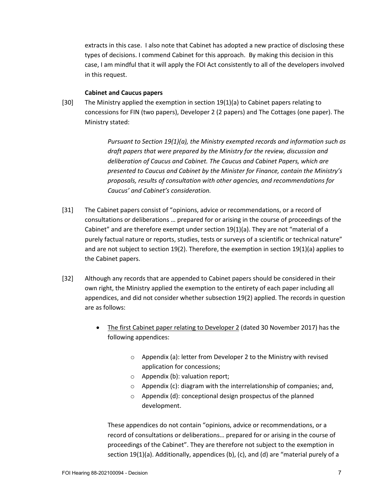extracts in this case. I also note that Cabinet has adopted a new practice of disclosing these types of decisions. I commend Cabinet for this approach. By making this decision in this case, I am mindful that it will apply the FOI Act consistently to all of the developers involved in this request.

#### **Cabinet and Caucus papers**

[30] The Ministry applied the exemption in section 19(1)(a) to Cabinet papers relating to concessions for FIN (two papers), Developer 2 (2 papers) and The Cottages (one paper). The Ministry stated:

> *Pursuant to Section 19(1)(a), the Ministry exempted records and information such as draft papers that were prepared by the Ministry for the review, discussion and deliberation of Caucus and Cabinet. The Caucus and Cabinet Papers, which are presented to Caucus and Cabinet by the Minister for Finance, contain the Ministry's proposals, results of consultation with other agencies, and recommendations for Caucus' and Cabinet's consideration.*

- [31] The Cabinet papers consist of "opinions, advice or recommendations, or a record of consultations or deliberations … prepared for or arising in the course of proceedings of the Cabinet" and are therefore exempt under section 19(1)(a). They are not "material of a purely factual nature or reports, studies, tests or surveys of a scientific or technical nature" and are not subject to section 19(2). Therefore, the exemption in section 19(1)(a) applies to the Cabinet papers.
- [32] Although any records that are appended to Cabinet papers should be considered in their own right, the Ministry applied the exemption to the entirety of each paper including all appendices, and did not consider whether subsection 19(2) applied. The records in question are as follows:
	- The first Cabinet paper relating to Developer 2 (dated 30 November 2017) has the following appendices:
		- $\circ$  Appendix (a): letter from Developer 2 to the Ministry with revised application for concessions;
		- o Appendix (b): valuation report;
		- o Appendix (c): diagram with the interrelationship of companies; and,
		- o Appendix (d): conceptional design prospectus of the planned development.

These appendices do not contain "opinions, advice or recommendations, or a record of consultations or deliberations… prepared for or arising in the course of proceedings of the Cabinet". They are therefore not subject to the exemption in section 19(1)(a). Additionally, appendices (b), (c), and (d) are "material purely of a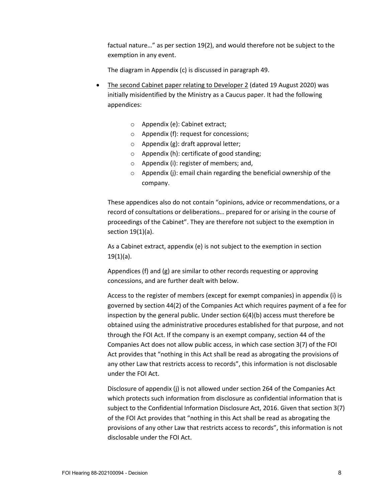factual nature…" as per section 19(2), and would therefore not be subject to the exemption in any event.

The diagram in Appendix (c) is discussed in paragraph 49.

- The second Cabinet paper relating to Developer 2 (dated 19 August 2020) was initially misidentified by the Ministry as a Caucus paper. It had the following appendices:
	- o Appendix (e): Cabinet extract;
	- o Appendix (f): request for concessions;
	- $\circ$  Appendix (g): draft approval letter;
	- o Appendix (h): certificate of good standing;
	- o Appendix (i): register of members; and,
	- $\circ$  Appendix (j): email chain regarding the beneficial ownership of the company.

These appendices also do not contain "opinions, advice or recommendations, or a record of consultations or deliberations… prepared for or arising in the course of proceedings of the Cabinet". They are therefore not subject to the exemption in section 19(1)(a).

As a Cabinet extract, appendix (e) is not subject to the exemption in section  $19(1)(a)$ .

Appendices (f) and (g) are similar to other records requesting or approving concessions, and are further dealt with below.

Access to the register of members (except for exempt companies) in appendix (i) is governed by section 44(2) of the Companies Act which requires payment of a fee for inspection by the general public. Under section 6(4)(b) access must therefore be obtained using the administrative procedures established for that purpose, and not through the FOI Act. If the company is an exempt company, section 44 of the Companies Act does not allow public access, in which case section 3(7) of the FOI Act provides that "nothing in this Act shall be read as abrogating the provisions of any other Law that restricts access to records", this information is not disclosable under the FOI Act.

Disclosure of appendix (j) is not allowed under section 264 of the Companies Act which protects such information from disclosure as confidential information that is subject to the Confidential Information Disclosure Act, 2016. Given that section 3(7) of the FOI Act provides that "nothing in this Act shall be read as abrogating the provisions of any other Law that restricts access to records", this information is not disclosable under the FOI Act.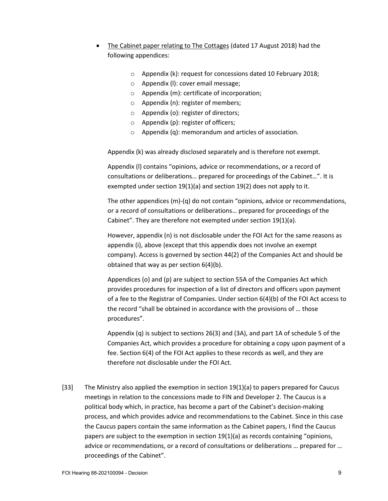- The Cabinet paper relating to The Cottages (dated 17 August 2018) had the following appendices:
	- o Appendix (k): request for concessions dated 10 February 2018;
	- o Appendix (l): cover email message;
	- o Appendix (m): certificate of incorporation;
	- o Appendix (n): register of members;
	- o Appendix (o): register of directors;
	- $\circ$  Appendix (p): register of officers;
	- o Appendix (q): memorandum and articles of association.

Appendix (k) was already disclosed separately and is therefore not exempt.

Appendix (l) contains "opinions, advice or recommendations, or a record of consultations or deliberations… prepared for proceedings of the Cabinet…". It is exempted under section 19(1)(a) and section 19(2) does not apply to it.

The other appendices (m)-(q) do not contain "opinions, advice or recommendations, or a record of consultations or deliberations… prepared for proceedings of the Cabinet". They are therefore not exempted under section 19(1)(a).

However, appendix (n) is not disclosable under the FOI Act for the same reasons as appendix (i), above (except that this appendix does not involve an exempt company). Access is governed by section 44(2) of the Companies Act and should be obtained that way as per section 6(4)(b).

Appendices (o) and (p) are subject to section 55A of the Companies Act which provides procedures for inspection of a list of directors and officers upon payment of a fee to the Registrar of Companies. Under section 6(4)(b) of the FOI Act access to the record "shall be obtained in accordance with the provisions of … those procedures".

Appendix (q) is subject to sections 26(3) and (3A), and part 1A of schedule 5 of the Companies Act, which provides a procedure for obtaining a copy upon payment of a fee. Section 6(4) of the FOI Act applies to these records as well, and they are therefore not disclosable under the FOI Act.

[33] The Ministry also applied the exemption in section 19(1)(a) to papers prepared for Caucus meetings in relation to the concessions made to FIN and Developer 2. The Caucus is a political body which, in practice, has become a part of the Cabinet's decision-making process, and which provides advice and recommendations to the Cabinet. Since in this case the Caucus papers contain the same information as the Cabinet papers, I find the Caucus papers are subject to the exemption in section  $19(1)(a)$  as records containing "opinions, advice or recommendations, or a record of consultations or deliberations … prepared for … proceedings of the Cabinet".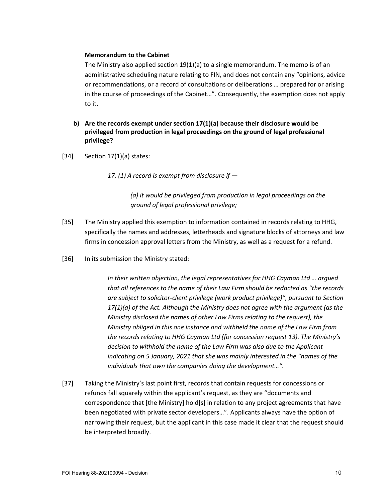#### **Memorandum to the Cabinet**

The Ministry also applied section 19(1)(a) to a single memorandum. The memo is of an administrative scheduling nature relating to FIN, and does not contain any "opinions, advice or recommendations, or a record of consultations or deliberations … prepared for or arising in the course of proceedings of the Cabinet…". Consequently, the exemption does not apply to it.

- **b) Are the records exempt under section 17(1)(a) because their disclosure would be privileged from production in legal proceedings on the ground of legal professional privilege?**
- $[34]$  Section 17(1)(a) states:

*17. (1) A record is exempt from disclosure if —*

*(a) it would be privileged from production in legal proceedings on the ground of legal professional privilege;*

- [35] The Ministry applied this exemption to information contained in records relating to HHG, specifically the names and addresses, letterheads and signature blocks of attorneys and law firms in concession approval letters from the Ministry, as well as a request for a refund.
- [36] In its submission the Ministry stated:

*In their written objection, the legal representatives for HHG Cayman Ltd … argued that all references to the name of their Law Firm should be redacted as "the records are subject to solicitor-client privilege (work product privilege)", pursuant to Section 17(1)(a) of the Act. Although the Ministry does not agree with the argument (as the Ministry disclosed the names of other Law Firms relating to the request), the Ministry obliged in this one instance and withheld the name of the Law Firm from the records relating to HHG Cayman Ltd (for concession request 13). The Ministry's decision to withhold the name of the Law Firm was also due to the Applicant indicating on 5 January, 2021 that she was mainly interested in the "names of the individuals that own the companies doing the development…".*

[37] Taking the Ministry's last point first, records that contain requests for concessions or refunds fall squarely within the applicant's request, as they are "documents and correspondence that [the Ministry] hold[s] in relation to any project agreements that have been negotiated with private sector developers…". Applicants always have the option of narrowing their request, but the applicant in this case made it clear that the request should be interpreted broadly.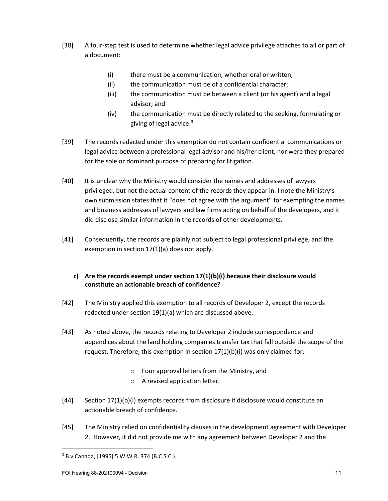- [38] A four-step test is used to determine whether legal advice privilege attaches to all or part of a document:
	- (i) there must be a communication, whether oral or written;
	- (ii) the communication must be of a confidential character;
	- (iii) the communication must be between a client (or his agent) and a legal advisor; and
	- (iv) the communication must be directly related to the seeking, formulating or giving of legal advice. $3$
- [39] The records redacted under this exemption do not contain confidential communications or legal advice between a professional legal advisor and his/her client, nor were they prepared for the sole or dominant purpose of preparing for litigation.
- [40] It is unclear why the Ministry would consider the names and addresses of lawyers privileged, but not the actual content of the records they appear in. I note the Ministry's own submission states that it "does not agree with the argument" for exempting the names and business addresses of lawyers and law firms acting on behalf of the developers, and it did disclose similar information in the records of other developments.
- [41] Consequently, the records are plainly not subject to legal professional privilege, and the exemption in section 17(1)(a) does not apply.
	- **c) Are the records exempt under section 17(1)(b)(i) because their disclosure would constitute an actionable breach of confidence?**
- [42] The Ministry applied this exemption to all records of Developer 2, except the records redacted under section 19(1)(a) which are discussed above.
- [43] As noted above, the records relating to Developer 2 include correspondence and appendices about the land holding companies transfer tax that fall outside the scope of the request. Therefore, this exemption in section 17(1)(b)(i) was only claimed for:
	- o Four approval letters from the Ministry, and
	- o A revised application letter.
- [44] Section 17(1)(b)(i) exempts records from disclosure if disclosure would constitute an actionable breach of confidence.
- [45] The Ministry relied on confidentiality clauses in the development agreement with Developer 2. However, it did not provide me with any agreement between Developer 2 and the

<span id="page-10-0"></span><sup>3</sup> B v Canada, [1995] 5 W.W.R. 374 (B.C.S.C.).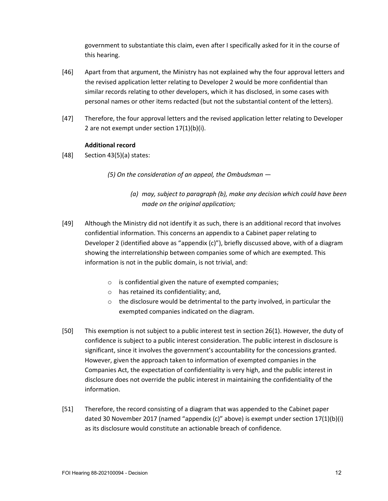government to substantiate this claim, even after I specifically asked for it in the course of this hearing.

- [46] Apart from that argument, the Ministry has not explained why the four approval letters and the revised application letter relating to Developer 2 would be more confidential than similar records relating to other developers, which it has disclosed, in some cases with personal names or other items redacted (but not the substantial content of the letters).
- [47] Therefore, the four approval letters and the revised application letter relating to Developer 2 are not exempt under section 17(1)(b)(i).

# **Additional record**

 $[48]$  Section 43(5)(a) states:

*(5) On the consideration of an appeal, the Ombudsman —*

- *(a) may, subject to paragraph (b), make any decision which could have been made on the original application;*
- [49] Although the Ministry did not identify it as such, there is an additional record that involves confidential information. This concerns an appendix to a Cabinet paper relating to Developer 2 (identified above as "appendix (c)"), briefly discussed above, with of a diagram showing the interrelationship between companies some of which are exempted. This information is not in the public domain, is not trivial, and:
	- o is confidential given the nature of exempted companies;
	- $\circ$  has retained its confidentiality; and,
	- $\circ$  the disclosure would be detrimental to the party involved, in particular the exempted companies indicated on the diagram.
- [50] This exemption is not subject to a public interest test in section 26(1). However, the duty of confidence is subject to a public interest consideration. The public interest in disclosure is significant, since it involves the government's accountability for the concessions granted. However, given the approach taken to information of exempted companies in the Companies Act, the expectation of confidentiality is very high, and the public interest in disclosure does not override the public interest in maintaining the confidentiality of the information.
- [51] Therefore, the record consisting of a diagram that was appended to the Cabinet paper dated 30 November 2017 (named "appendix (c)" above) is exempt under section 17(1)(b)(i) as its disclosure would constitute an actionable breach of confidence.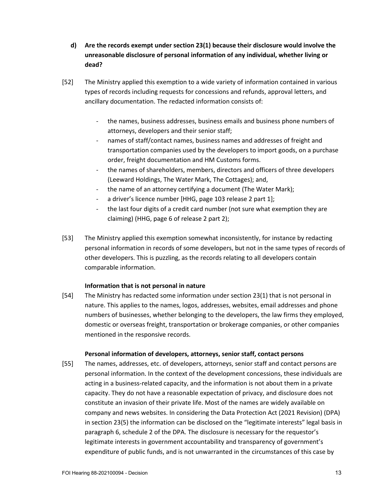- **d) Are the records exempt under section 23(1) because their disclosure would involve the unreasonable disclosure of personal information of any individual, whether living or dead?**
- [52] The Ministry applied this exemption to a wide variety of information contained in various types of records including requests for concessions and refunds, approval letters, and ancillary documentation. The redacted information consists of:
	- the names, business addresses, business emails and business phone numbers of attorneys, developers and their senior staff;
	- names of staff/contact names, business names and addresses of freight and transportation companies used by the developers to import goods, on a purchase order, freight documentation and HM Customs forms.
	- the names of shareholders, members, directors and officers of three developers (Leeward Holdings, The Water Mark, The Cottages); and,
	- the name of an attorney certifying a document (The Water Mark);
	- a driver's licence number [HHG, page 103 release 2 part 1];
	- the last four digits of a credit card number (not sure what exemption they are claiming) (HHG, page 6 of release 2 part 2);
- [53] The Ministry applied this exemption somewhat inconsistently, for instance by redacting personal information in records of some developers, but not in the same types of records of other developers. This is puzzling, as the records relating to all developers contain comparable information.

# **Information that is not personal in nature**

[54] The Ministry has redacted some information under section 23(1) that is not personal in nature. This applies to the names, logos, addresses, websites, email addresses and phone numbers of businesses, whether belonging to the developers, the law firms they employed, domestic or overseas freight, transportation or brokerage companies, or other companies mentioned in the responsive records.

## **Personal information of developers, attorneys, senior staff, contact persons**

[55] The names, addresses, etc. of developers, attorneys, senior staff and contact persons are personal information. In the context of the development concessions, these individuals are acting in a business-related capacity, and the information is not about them in a private capacity. They do not have a reasonable expectation of privacy, and disclosure does not constitute an invasion of their private life. Most of the names are widely available on company and news websites. In considering the Data Protection Act (2021 Revision) (DPA) in section 23(5) the information can be disclosed on the "legitimate interests" legal basis in paragraph 6, schedule 2 of the DPA. The disclosure is necessary for the requestor's legitimate interests in government accountability and transparency of government's expenditure of public funds, and is not unwarranted in the circumstances of this case by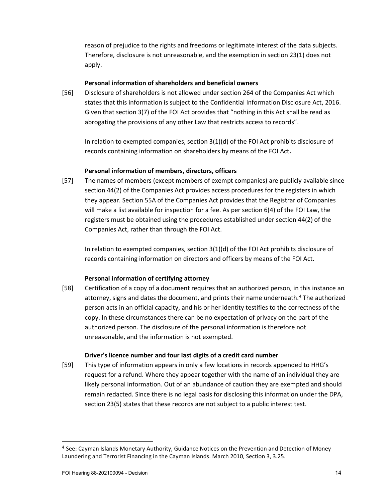reason of prejudice to the rights and freedoms or legitimate interest of the data subjects. Therefore, disclosure is not unreasonable, and the exemption in section 23(1) does not apply.

# **Personal information of shareholders and beneficial owners**

[56] Disclosure of shareholders is not allowed under section 264 of the Companies Act which states that this information is subject to the Confidential Information Disclosure Act, 2016. Given that section 3(7) of the FOI Act provides that "nothing in this Act shall be read as abrogating the provisions of any other Law that restricts access to records".

In relation to exempted companies, section 3(1)(d) of the FOI Act prohibits disclosure of records containing information on shareholders by means of the FOI Act**.**

## **Personal information of members, directors, officers**

[57] The names of members (except members of exempt companies) are publicly available since section 44(2) of the Companies Act provides access procedures for the registers in which they appear. Section 55A of the Companies Act provides that the Registrar of Companies will make a list available for inspection for a fee. As per section 6(4) of the FOI Law, the registers must be obtained using the procedures established under section 44(2) of the Companies Act, rather than through the FOI Act.

In relation to exempted companies, section 3(1)(d) of the FOI Act prohibits disclosure of records containing information on directors and officers by means of the FOI Act.

## **Personal information of certifying attorney**

[58] Certification of a copy of a document requires that an authorized person, in this instance an attorney, signs and dates the document, and prints their name underneath.[4](#page-13-0) The authorized person acts in an official capacity, and his or her identity testifies to the correctness of the copy. In these circumstances there can be no expectation of privacy on the part of the authorized person. The disclosure of the personal information is therefore not unreasonable, and the information is not exempted.

## **Driver's licence number and four last digits of a credit card number**

[59] This type of information appears in only a few locations in records appended to HHG's request for a refund. Where they appear together with the name of an individual they are likely personal information. Out of an abundance of caution they are exempted and should remain redacted. Since there is no legal basis for disclosing this information under the DPA, section 23(5) states that these records are not subject to a public interest test.

<span id="page-13-0"></span><sup>4</sup> See: Cayman Islands Monetary Authority, Guidance Notices on the Prevention and Detection of Money Laundering and Terrorist Financing in the Cayman Islands. March 2010, Section 3, 3.25.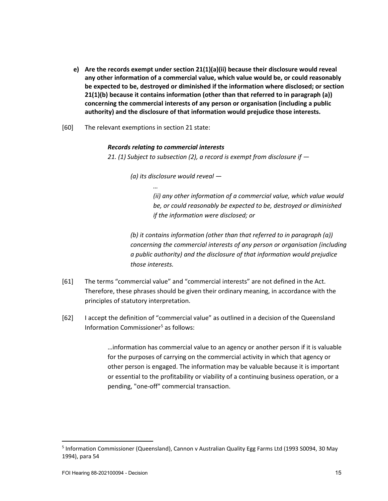- **e) Are the records exempt under section 21(1)(a)(ii) because their disclosure would reveal any other information of a commercial value, which value would be, or could reasonably be expected to be, destroyed or diminished if the information where disclosed; or section 21(1)(b) because it contains information (other than that referred to in paragraph (a)) concerning the commercial interests of any person or organisation (including a public authority) and the disclosure of that information would prejudice those interests.**
- [60] The relevant exemptions in section 21 state:

#### *Records relating to commercial interests*

*…*

*21. (1) Subject to subsection (2), a record is exempt from disclosure if —*

*(a) its disclosure would reveal —*

*(ii) any other information of a commercial value, which value would be, or could reasonably be expected to be, destroyed or diminished if the information were disclosed; or*

*(b) it contains information (other than that referred to in paragraph (a)) concerning the commercial interests of any person or organisation (including a public authority) and the disclosure of that information would prejudice those interests.*

- [61] The terms "commercial value" and "commercial interests" are not defined in the Act. Therefore, these phrases should be given their ordinary meaning, in accordance with the principles of statutory interpretation.
- [62] I accept the definition of "commercial value" as outlined in a decision of the Queensland Information Commissioner<sup>[5](#page-14-0)</sup> as follows:

…information has commercial value to an agency or another person if it is valuable for the purposes of carrying on the commercial activity in which that agency or other person is engaged. The information may be valuable because it is important or essential to the profitability or viability of a continuing business operation, or a pending, "one-off" commercial transaction.

<span id="page-14-0"></span><sup>5</sup> Information Commissioner (Queensland), Cannon v Australian Quality Egg Farms Ltd (1993 S0094, 30 May 1994), para 54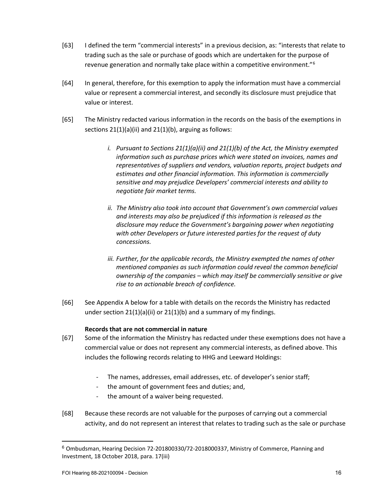- [63] I defined the term "commercial interests" in a previous decision, as: "interests that relate to trading such as the sale or purchase of goods which are undertaken for the purpose of revenue generation and normally take place within a competitive environment."[6](#page-15-0)
- [64] In general, therefore, for this exemption to apply the information must have a commercial value or represent a commercial interest, and secondly its disclosure must prejudice that value or interest.
- [65] The Ministry redacted various information in the records on the basis of the exemptions in sections 21(1)(a)(ii) and 21(1)(b), arguing as follows:
	- *i. Pursuant to Sections 21(1)(a)(ii) and 21(1)(b) of the Act, the Ministry exempted information such as purchase prices which were stated on invoices, names and representatives of suppliers and vendors, valuation reports, project budgets and estimates and other financial information. This information is commercially sensitive and may prejudice Developers' commercial interests and ability to negotiate fair market terms.*
	- *ii. The Ministry also took into account that Government's own commercial values and interests may also be prejudiced if this information is released as the disclosure may reduce the Government's bargaining power when negotiating with other Developers or future interested parties for the request of duty concessions.*
	- *iii. Further, for the applicable records, the Ministry exempted the names of other mentioned companies as such information could reveal the common beneficial ownership of the companies – which may itself be commercially sensitive or give rise to an actionable breach of confidence.*
- [66] See Appendix A below for a table with details on the records the Ministry has redacted under section  $21(1)(a)(ii)$  or  $21(1)(b)$  and a summary of my findings.

# **Records that are not commercial in nature**

- [67] Some of the information the Ministry has redacted under these exemptions does not have a commercial value or does not represent any commercial interests, as defined above. This includes the following records relating to HHG and Leeward Holdings:
	- The names, addresses, email addresses, etc. of developer's senior staff;
	- the amount of government fees and duties; and,
	- the amount of a waiver being requested.
- [68] Because these records are not valuable for the purposes of carrying out a commercial activity, and do not represent an interest that relates to trading such as the sale or purchase

<span id="page-15-0"></span><sup>6</sup> Ombudsman, Hearing Decision 72-201800330/72-2018000337, Ministry of Commerce, Planning and Investment, 18 October 2018, para. 17(iii)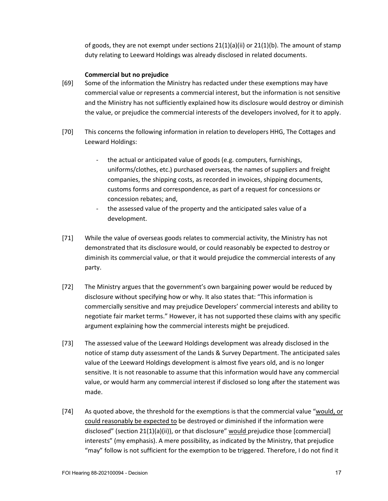of goods, they are not exempt under sections  $21(1)(a)(ii)$  or  $21(1)(b)$ . The amount of stamp duty relating to Leeward Holdings was already disclosed in related documents.

#### **Commercial but no prejudice**

- [69] Some of the information the Ministry has redacted under these exemptions may have commercial value or represents a commercial interest, but the information is not sensitive and the Ministry has not sufficiently explained how its disclosure would destroy or diminish the value, or prejudice the commercial interests of the developers involved, for it to apply.
- [70] This concerns the following information in relation to developers HHG, The Cottages and Leeward Holdings:
	- the actual or anticipated value of goods (e.g. computers, furnishings, uniforms/clothes, etc.) purchased overseas, the names of suppliers and freight companies, the shipping costs, as recorded in invoices, shipping documents, customs forms and correspondence, as part of a request for concessions or concession rebates; and,
	- the assessed value of the property and the anticipated sales value of a development.
- [71] While the value of overseas goods relates to commercial activity, the Ministry has not demonstrated that its disclosure would, or could reasonably be expected to destroy or diminish its commercial value, or that it would prejudice the commercial interests of any party.
- [72] The Ministry argues that the government's own bargaining power would be reduced by disclosure without specifying how or why. It also states that: "This information is commercially sensitive and may prejudice Developers' commercial interests and ability to negotiate fair market terms." However, it has not supported these claims with any specific argument explaining how the commercial interests might be prejudiced.
- [73] The assessed value of the Leeward Holdings development was already disclosed in the notice of stamp duty assessment of the Lands & Survey Department. The anticipated sales value of the Leeward Holdings development is almost five years old, and is no longer sensitive. It is not reasonable to assume that this information would have any commercial value, or would harm any commercial interest if disclosed so long after the statement was made.
- [74] As quoted above, the threshold for the exemptions is that the commercial value "would, or could reasonably be expected to be destroyed or diminished if the information were disclosed" (section 21(1)(a)(ii)), or that disclosure" would prejudice those [commercial] interests" (my emphasis). A mere possibility, as indicated by the Ministry, that prejudice "may" follow is not sufficient for the exemption to be triggered. Therefore, I do not find it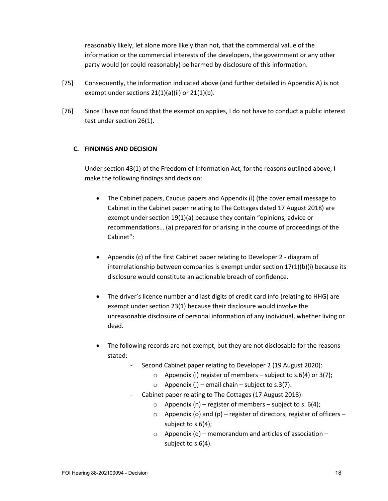reasonably likely, let alone more likely than not, that the commercial value of the information or the commercial interests of the developers, the government or any other party would (or could reasonably) be harmed by disclosure of this information.

- [75] Consequently, the information indicated above (and further detailed in Appendix A) is not exempt under sections 21(1)(a)(ii) or 21(1)(b).
- [76] Since I have not found that the exemption applies, I do not have to conduct a public interest test under section 26(1).

# **C. FINDINGS AND DECISION**

Under section 43(1) of the Freedom of Information Act, for the reasons outlined above, I make the following findings and decision:

- The Cabinet papers, Caucus papers and Appendix (l) (the cover email message to Cabinet in the Cabinet paper relating to The Cottages dated 17 August 2018) are exempt under section 19(1)(a) because they contain "opinions, advice or recommendations… (a) prepared for or arising in the course of proceedings of the Cabinet":
- Appendix (c) of the first Cabinet paper relating to Developer 2 diagram of interrelationship between companies is exempt under section  $17(1)(b)(i)$  because its disclosure would constitute an actionable breach of confidence.
- The driver's licence number and last digits of credit card info (relating to HHG) are exempt under section 23(1) because their disclosure would involve the unreasonable disclosure of personal information of any individual, whether living or dead.
- The following records are not exempt, but they are not disclosable for the reasons stated:
	- Second Cabinet paper relating to Developer 2 (19 August 2020):
		- $\circ$  Appendix (i) register of members subject to s.6(4) or 3(7);
		- $\circ$  Appendix (j) email chain subject to s.3(7).
		- Cabinet paper relating to The Cottages (17 August 2018):
			- o Appendix (n) register of members subject to s.  $6(4)$ ;
			- $\circ$  Appendix (o) and (p) register of directors, register of officers subject to s.6(4);
			- $\circ$  Appendix (q) memorandum and articles of association subject to s.6(4).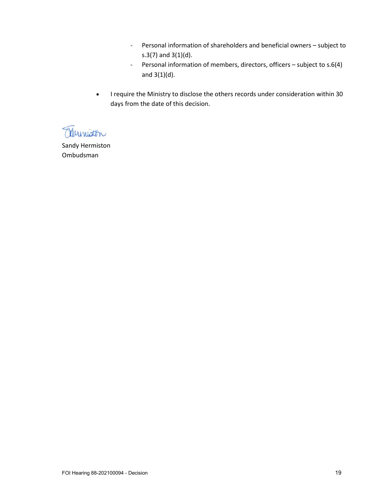- Personal information of shareholders and beneficial owners subject to s.3(7) and 3(1)(d).
- Personal information of members, directors, officers subject to s.6(4) and 3(1)(d).
- I require the Ministry to disclose the others records under consideration within 30 days from the date of this decision.

Muniston

Sandy Hermiston Ombudsman